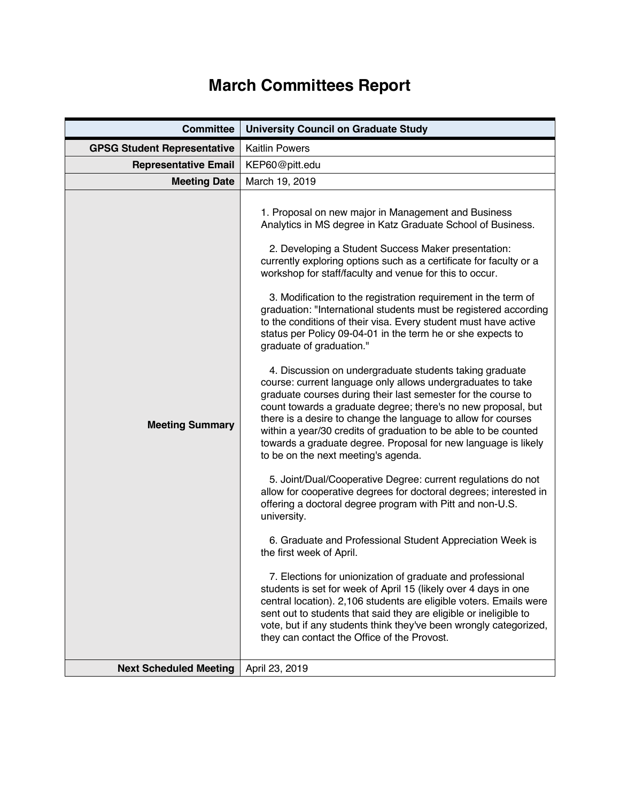## **March Committees Report**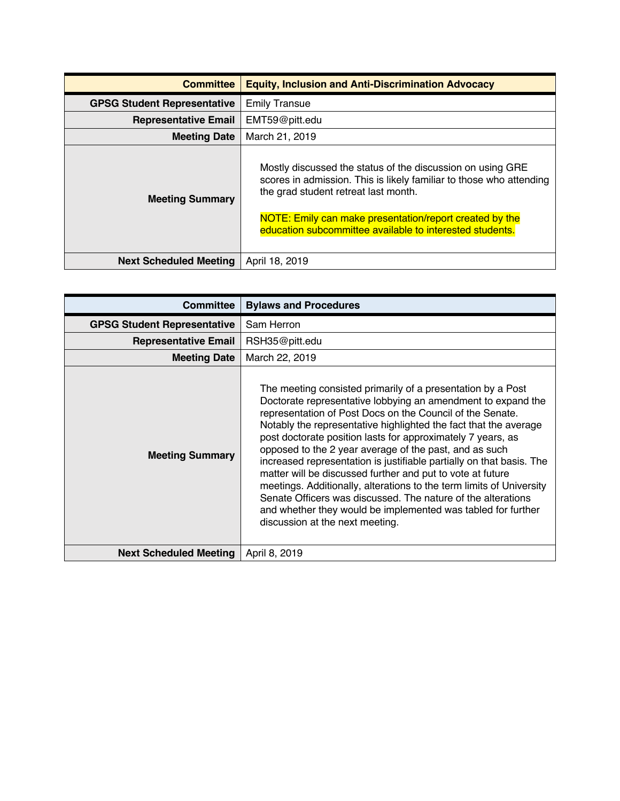| <b>Committee</b>                   | <b>Equity, Inclusion and Anti-Discrimination Advocacy</b>                                                                                                                                                                                                                                        |
|------------------------------------|--------------------------------------------------------------------------------------------------------------------------------------------------------------------------------------------------------------------------------------------------------------------------------------------------|
| <b>GPSG Student Representative</b> | <b>Emily Transue</b>                                                                                                                                                                                                                                                                             |
| <b>Representative Email</b>        | EMT59@pitt.edu                                                                                                                                                                                                                                                                                   |
| <b>Meeting Date</b>                | March 21, 2019                                                                                                                                                                                                                                                                                   |
| <b>Meeting Summary</b>             | Mostly discussed the status of the discussion on using GRE<br>scores in admission. This is likely familiar to those who attending<br>the grad student retreat last month.<br>NOTE: Emily can make presentation/report created by the<br>education subcommittee available to interested students. |
| <b>Next Scheduled Meeting</b>      | April 18, 2019                                                                                                                                                                                                                                                                                   |

| <b>Committee</b>                   | <b>Bylaws and Procedures</b>                                                                                                                                                                                                                                                                                                                                                                                                                                                                                                                                                                                                                                                                                                                                           |
|------------------------------------|------------------------------------------------------------------------------------------------------------------------------------------------------------------------------------------------------------------------------------------------------------------------------------------------------------------------------------------------------------------------------------------------------------------------------------------------------------------------------------------------------------------------------------------------------------------------------------------------------------------------------------------------------------------------------------------------------------------------------------------------------------------------|
| <b>GPSG Student Representative</b> | Sam Herron                                                                                                                                                                                                                                                                                                                                                                                                                                                                                                                                                                                                                                                                                                                                                             |
| <b>Representative Email</b>        | RSH35@pitt.edu                                                                                                                                                                                                                                                                                                                                                                                                                                                                                                                                                                                                                                                                                                                                                         |
| <b>Meeting Date</b>                | March 22, 2019                                                                                                                                                                                                                                                                                                                                                                                                                                                                                                                                                                                                                                                                                                                                                         |
| <b>Meeting Summary</b>             | The meeting consisted primarily of a presentation by a Post<br>Doctorate representative lobbying an amendment to expand the<br>representation of Post Docs on the Council of the Senate.<br>Notably the representative highlighted the fact that the average<br>post doctorate position lasts for approximately 7 years, as<br>opposed to the 2 year average of the past, and as such<br>increased representation is justifiable partially on that basis. The<br>matter will be discussed further and put to vote at future<br>meetings. Additionally, alterations to the term limits of University<br>Senate Officers was discussed. The nature of the alterations<br>and whether they would be implemented was tabled for further<br>discussion at the next meeting. |
| <b>Next Scheduled Meeting</b>      | April 8, 2019                                                                                                                                                                                                                                                                                                                                                                                                                                                                                                                                                                                                                                                                                                                                                          |